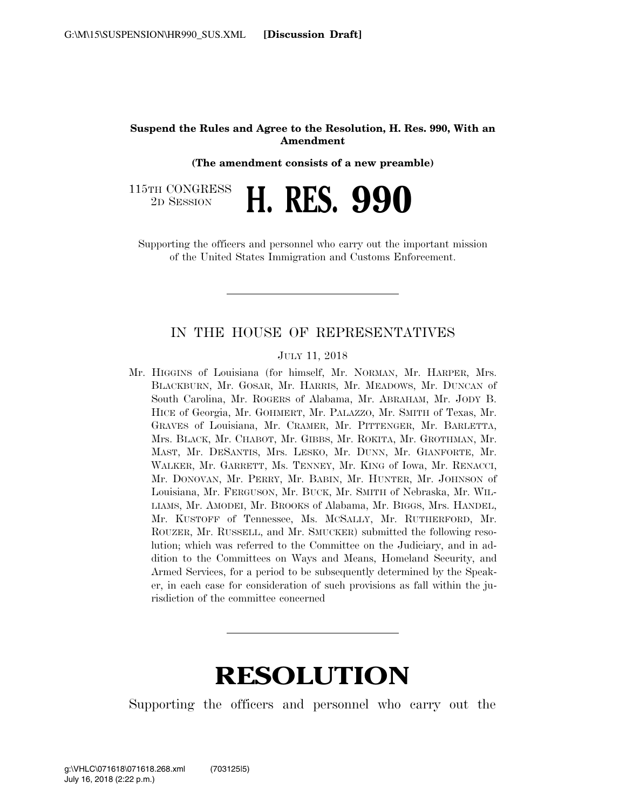## **Suspend the Rules and Agree to the Resolution, H. Res. 990, With an Amendment**

**(The amendment consists of a new preamble)** 

115TH CONGRESS <sup>TH CONGRESS</sup> H. RES. 990

Supporting the officers and personnel who carry out the important mission of the United States Immigration and Customs Enforcement.

## IN THE HOUSE OF REPRESENTATIVES

JULY 11, 2018

Mr. HIGGINS of Louisiana (for himself, Mr. NORMAN, Mr. HARPER, Mrs. BLACKBURN, Mr. GOSAR, Mr. HARRIS, Mr. MEADOWS, Mr. DUNCAN of South Carolina, Mr. ROGERS of Alabama, Mr. ABRAHAM, Mr. JODY B. HICE of Georgia, Mr. GOHMERT, Mr. PALAZZO, Mr. SMITH of Texas, Mr. GRAVES of Louisiana, Mr. CRAMER, Mr. PITTENGER, Mr. BARLETTA, Mrs. BLACK, Mr. CHABOT, Mr. GIBBS, Mr. ROKITA, Mr. GROTHMAN, Mr. MAST, Mr. DESANTIS, Mrs. LESKO, Mr. DUNN, Mr. GIANFORTE, Mr. WALKER, Mr. GARRETT, Ms. TENNEY, Mr. KING of Iowa, Mr. RENACCI, Mr. DONOVAN, Mr. PERRY, Mr. BABIN, Mr. HUNTER, Mr. JOHNSON of Louisiana, Mr. FERGUSON, Mr. BUCK, Mr. SMITH of Nebraska, Mr. WIL-LIAMS, Mr. AMODEI, Mr. BROOKS of Alabama, Mr. BIGGS, Mrs. HANDEL, Mr. KUSTOFF of Tennessee, Ms. MCSALLY, Mr. RUTHERFORD, Mr. ROUZER, Mr. RUSSELL, and Mr. SMUCKER) submitted the following resolution; which was referred to the Committee on the Judiciary, and in addition to the Committees on Ways and Means, Homeland Security, and Armed Services, for a period to be subsequently determined by the Speaker, in each case for consideration of such provisions as fall within the jurisdiction of the committee concerned

## **RESOLUTION**

Supporting the officers and personnel who carry out the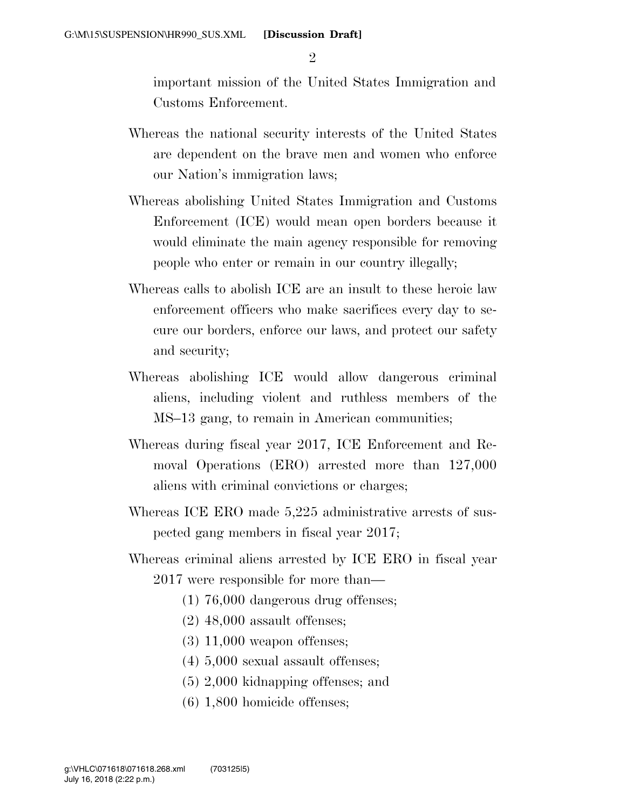$\mathfrak{D}$ 

important mission of the United States Immigration and Customs Enforcement.

- Whereas the national security interests of the United States are dependent on the brave men and women who enforce our Nation's immigration laws;
- Whereas abolishing United States Immigration and Customs Enforcement (ICE) would mean open borders because it would eliminate the main agency responsible for removing people who enter or remain in our country illegally;
- Whereas calls to abolish ICE are an insult to these heroic law enforcement officers who make sacrifices every day to secure our borders, enforce our laws, and protect our safety and security;
- Whereas abolishing ICE would allow dangerous criminal aliens, including violent and ruthless members of the MS–13 gang, to remain in American communities;
- Whereas during fiscal year 2017, ICE Enforcement and Removal Operations (ERO) arrested more than 127,000 aliens with criminal convictions or charges;
- Whereas ICE ERO made 5,225 administrative arrests of suspected gang members in fiscal year 2017;
- Whereas criminal aliens arrested by ICE ERO in fiscal year 2017 were responsible for more than—
	- (1) 76,000 dangerous drug offenses;
	- (2) 48,000 assault offenses;
	- (3) 11,000 weapon offenses;
	- (4) 5,000 sexual assault offenses;
	- (5) 2,000 kidnapping offenses; and
	- (6) 1,800 homicide offenses;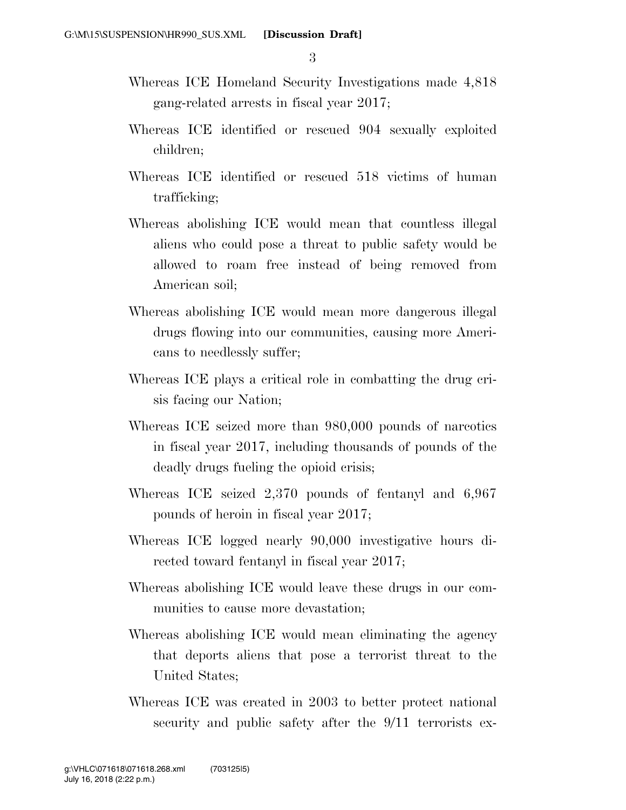3

- Whereas ICE Homeland Security Investigations made 4,818 gang-related arrests in fiscal year 2017;
- Whereas ICE identified or rescued 904 sexually exploited children;
- Whereas ICE identified or rescued 518 victims of human trafficking;
- Whereas abolishing ICE would mean that countless illegal aliens who could pose a threat to public safety would be allowed to roam free instead of being removed from American soil;
- Whereas abolishing ICE would mean more dangerous illegal drugs flowing into our communities, causing more Americans to needlessly suffer;
- Whereas ICE plays a critical role in combatting the drug crisis facing our Nation;
- Whereas ICE seized more than 980,000 pounds of narcotics in fiscal year 2017, including thousands of pounds of the deadly drugs fueling the opioid crisis;
- Whereas ICE seized 2,370 pounds of fentanyl and 6,967 pounds of heroin in fiscal year 2017;
- Whereas ICE logged nearly 90,000 investigative hours directed toward fentanyl in fiscal year 2017;
- Whereas abolishing ICE would leave these drugs in our communities to cause more devastation;
- Whereas abolishing ICE would mean eliminating the agency that deports aliens that pose a terrorist threat to the United States;
- Whereas ICE was created in 2003 to better protect national security and public safety after the  $9/11$  terrorists ex-